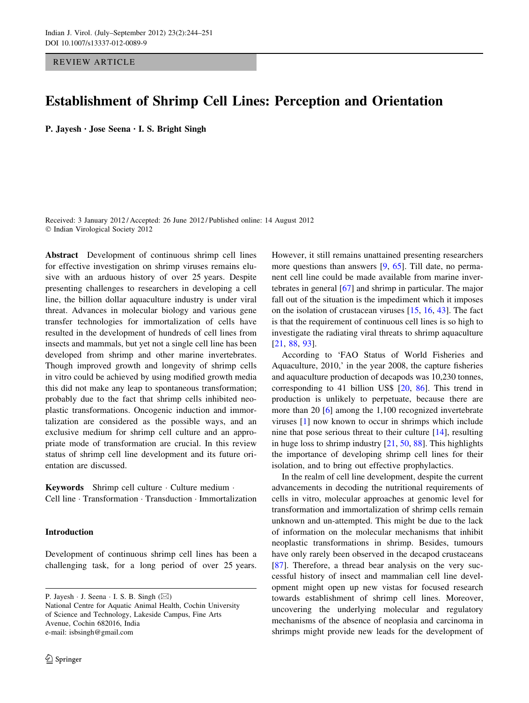REVIEW ARTICLE

# Establishment of Shrimp Cell Lines: Perception and Orientation

P. Jayesh • Jose Seena • I. S. Bright Singh

Received: 3 January 2012 / Accepted: 26 June 2012 / Published online: 14 August 2012 © Indian Virological Society 2012

Abstract Development of continuous shrimp cell lines for effective investigation on shrimp viruses remains elusive with an arduous history of over 25 years. Despite presenting challenges to researchers in developing a cell line, the billion dollar aquaculture industry is under viral threat. Advances in molecular biology and various gene transfer technologies for immortalization of cells have resulted in the development of hundreds of cell lines from insects and mammals, but yet not a single cell line has been developed from shrimp and other marine invertebrates. Though improved growth and longevity of shrimp cells in vitro could be achieved by using modified growth media this did not make any leap to spontaneous transformation; probably due to the fact that shrimp cells inhibited neoplastic transformations. Oncogenic induction and immortalization are considered as the possible ways, and an exclusive medium for shrimp cell culture and an appropriate mode of transformation are crucial. In this review status of shrimp cell line development and its future orientation are discussed.

Keywords Shrimp cell culture · Culture medium · Cell line - Transformation - Transduction - Immortalization

### Introduction

Development of continuous shrimp cell lines has been a challenging task, for a long period of over 25 years.

P. Jayesh  $\cdot$  J. Seena  $\cdot$  I. S. B. Singh ( $\boxtimes$ ) National Centre for Aquatic Animal Health, Cochin University of Science and Technology, Lakeside Campus, Fine Arts Avenue, Cochin 682016, India e-mail: isbsingh@gmail.com

2 Springer

However, it still remains unattained presenting researchers more questions than answers [\[9](#page-5-0), [65](#page-6-0)]. Till date, no permanent cell line could be made available from marine invertebrates in general [[67\]](#page-6-0) and shrimp in particular. The major fall out of the situation is the impediment which it imposes on the isolation of crustacean viruses [[15,](#page-5-0) [16,](#page-5-0) [43](#page-6-0)]. The fact is that the requirement of continuous cell lines is so high to investigate the radiating viral threats to shrimp aquaculture [\[21](#page-5-0), [88](#page-7-0), [93](#page-7-0)].

According to 'FAO Status of World Fisheries and Aquaculture, 2010,' in the year 2008, the capture fisheries and aquaculture production of decapods was 10,230 tonnes, corresponding to 41 billion US\$ [\[20](#page-5-0), [86](#page-7-0)]. This trend in production is unlikely to perpetuate, because there are more than 20 [[6\]](#page-5-0) among the 1,100 recognized invertebrate viruses [\[1](#page-5-0)] now known to occur in shrimps which include nine that pose serious threat to their culture [\[14](#page-5-0)], resulting in huge loss to shrimp industry [[21,](#page-5-0) [50,](#page-6-0) [88\]](#page-7-0). This highlights the importance of developing shrimp cell lines for their isolation, and to bring out effective prophylactics.

In the realm of cell line development, despite the current advancements in decoding the nutritional requirements of cells in vitro, molecular approaches at genomic level for transformation and immortalization of shrimp cells remain unknown and un-attempted. This might be due to the lack of information on the molecular mechanisms that inhibit neoplastic transformations in shrimp. Besides, tumours have only rarely been observed in the decapod crustaceans [\[87](#page-7-0)]. Therefore, a thread bear analysis on the very successful history of insect and mammalian cell line development might open up new vistas for focused research towards establishment of shrimp cell lines. Moreover, uncovering the underlying molecular and regulatory mechanisms of the absence of neoplasia and carcinoma in shrimps might provide new leads for the development of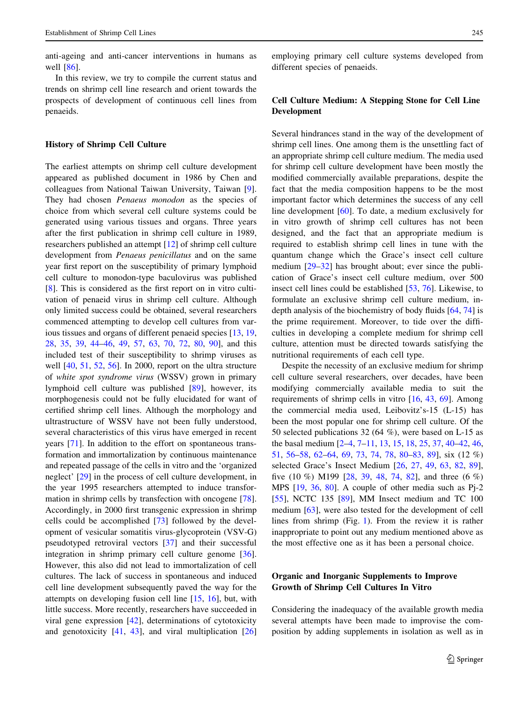anti-ageing and anti-cancer interventions in humans as well [[86\]](#page-7-0).

In this review, we try to compile the current status and trends on shrimp cell line research and orient towards the prospects of development of continuous cell lines from penaeids.

## History of Shrimp Cell Culture

The earliest attempts on shrimp cell culture development appeared as published document in 1986 by Chen and colleagues from National Taiwan University, Taiwan [\[9](#page-5-0)]. They had chosen Penaeus monodon as the species of choice from which several cell culture systems could be generated using various tissues and organs. Three years after the first publication in shrimp cell culture in 1989, researchers published an attempt [[12\]](#page-5-0) of shrimp cell culture development from Penaeus penicillatus and on the same year first report on the susceptibility of primary lymphoid cell culture to monodon-type baculovirus was published [\[8](#page-5-0)]. This is considered as the first report on in vitro cultivation of penaeid virus in shrimp cell culture. Although only limited success could be obtained, several researchers commenced attempting to develop cell cultures from various tissues and organs of different penaeid species [[13,](#page-5-0) [19,](#page-5-0) [28](#page-5-0), [35,](#page-5-0) [39,](#page-6-0) [44–46,](#page-6-0) [49,](#page-6-0) [57,](#page-6-0) [63,](#page-6-0) [70,](#page-6-0) [72,](#page-6-0) [80,](#page-7-0) [90](#page-7-0)], and this included test of their susceptibility to shrimp viruses as well [[40,](#page-6-0) [51](#page-6-0), [52,](#page-6-0) [56](#page-6-0)]. In 2000, report on the ultra structure of white spot syndrome virus (WSSV) grown in primary lymphoid cell culture was published [\[89](#page-7-0)], however, its morphogenesis could not be fully elucidated for want of certified shrimp cell lines. Although the morphology and ultrastructure of WSSV have not been fully understood, several characteristics of this virus have emerged in recent years [[71\]](#page-6-0). In addition to the effort on spontaneous transformation and immortalization by continuous maintenance and repeated passage of the cells in vitro and the 'organized neglect' [[29\]](#page-5-0) in the process of cell culture development, in the year 1995 researchers attempted to induce transformation in shrimp cells by transfection with oncogene [\[78](#page-6-0)]. Accordingly, in 2000 first transgenic expression in shrimp cells could be accomplished [\[73](#page-6-0)] followed by the development of vesicular somatitis virus-glycoprotein (VSV-G) pseudotyped retroviral vectors [[37](#page-5-0)] and their successful integration in shrimp primary cell culture genome [\[36](#page-5-0)]. However, this also did not lead to immortalization of cell cultures. The lack of success in spontaneous and induced cell line development subsequently paved the way for the attempts on developing fusion cell line [[15,](#page-5-0) [16](#page-5-0)], but, with little success. More recently, researchers have succeeded in viral gene expression [[42\]](#page-6-0), determinations of cytotoxicity and genotoxicity [\[41](#page-6-0), [43\]](#page-6-0), and viral multiplication [[26\]](#page-5-0) employing primary cell culture systems developed from different species of penaeids.

## Cell Culture Medium: A Stepping Stone for Cell Line Development

Several hindrances stand in the way of the development of shrimp cell lines. One among them is the unsettling fact of an appropriate shrimp cell culture medium. The media used for shrimp cell culture development have been mostly the modified commercially available preparations, despite the fact that the media composition happens to be the most important factor which determines the success of any cell line development [\[60](#page-6-0)]. To date, a medium exclusively for in vitro growth of shrimp cell cultures has not been designed, and the fact that an appropriate medium is required to establish shrimp cell lines in tune with the quantum change which the Grace's insect cell culture medium [\[29–32](#page-5-0)] has brought about; ever since the publication of Grace's insect cell culture medium, over 500 insect cell lines could be established [\[53](#page-6-0), [76\]](#page-6-0). Likewise, to formulate an exclusive shrimp cell culture medium, indepth analysis of the biochemistry of body fluids [[64,](#page-6-0) [74\]](#page-6-0) is the prime requirement. Moreover, to tide over the difficulties in developing a complete medium for shrimp cell culture, attention must be directed towards satisfying the nutritional requirements of each cell type.

Despite the necessity of an exclusive medium for shrimp cell culture several researchers, over decades, have been modifying commercially available media to suit the requirements of shrimp cells in vitro [\[16](#page-5-0), [43](#page-6-0), [69](#page-6-0)]. Among the commercial media used, Leibovitz's-15 (L-15) has been the most popular one for shrimp cell culture. Of the 50 selected publications 32 (64 %), were based on L-15 as the basal medium [[2–4](#page-5-0), [7–11](#page-5-0), [13](#page-5-0), [15](#page-5-0), [18](#page-5-0), [25](#page-5-0), [37,](#page-5-0) [40–42,](#page-6-0) [46,](#page-6-0) [51](#page-6-0), [56–58](#page-6-0), [62–64,](#page-6-0) [69,](#page-6-0) [73](#page-6-0), [74](#page-6-0), [78,](#page-6-0) [80–83,](#page-7-0) [89](#page-7-0)], six (12 %) selected Grace's Insect Medium [\[26](#page-5-0), [27,](#page-5-0) [49](#page-6-0), [63,](#page-6-0) [82](#page-7-0), [89](#page-7-0)], five (10 %) M199 [[28,](#page-5-0) [39,](#page-6-0) [48,](#page-6-0) [74](#page-6-0), [82](#page-7-0)], and three (6 %) MPS [\[19](#page-5-0), [36,](#page-5-0) [80](#page-7-0)]. A couple of other media such as Pj-2 [\[55](#page-6-0)], NCTC 135 [\[89](#page-7-0)], MM Insect medium and TC 100 medium [\[63](#page-6-0)], were also tested for the development of cell lines from shrimp (Fig. [1\)](#page-2-0). From the review it is rather inappropriate to point out any medium mentioned above as the most effective one as it has been a personal choice.

# Organic and Inorganic Supplements to Improve Growth of Shrimp Cell Cultures In Vitro

Considering the inadequacy of the available growth media several attempts have been made to improvise the composition by adding supplements in isolation as well as in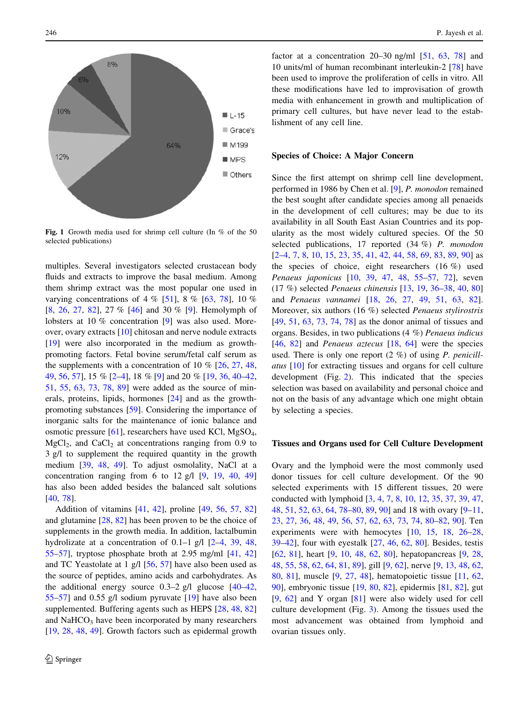<span id="page-2-0"></span>

Fig. 1 Growth media used for shrimp cell culture (In % of the 50 selected publications)

multiples. Several investigators selected crustacean body fluids and extracts to improve the basal medium. Among them shrimp extract was the most popular one used in varying concentrations of 4 % [[51\]](#page-6-0), 8 % [\[63](#page-6-0), [78](#page-6-0)], 10 % [\[8](#page-5-0), [26,](#page-5-0) [27](#page-5-0), [82\]](#page-7-0), 27 % [\[46](#page-6-0)] and 30 % [[9](#page-5-0)]. Hemolymph of lobsters at 10 % concentration [\[9](#page-5-0)] was also used. Moreover, ovary extracts [[10\]](#page-5-0) chitosan and nerve nodule extracts [\[19](#page-5-0)] were also incorporated in the medium as growthpromoting factors. Fetal bovine serum/fetal calf serum as the supplements with a concentration of 10  $\%$  [\[26](#page-5-0), [27,](#page-5-0) [48,](#page-6-0) [49,](#page-6-0) [56,](#page-6-0) [57\]](#page-6-0), 15 % [\[2–4](#page-5-0)], 18 % [[9\]](#page-5-0) and 20 % [[19,](#page-5-0) [36,](#page-5-0) [40–42,](#page-6-0) [51,](#page-6-0) [55](#page-6-0), [63](#page-6-0), [73,](#page-6-0) [78,](#page-6-0) [89](#page-7-0)] were added as the source of minerals, proteins, lipids, hormones [[24\]](#page-5-0) and as the growthpromoting substances [\[59](#page-6-0)]. Considering the importance of inorganic salts for the maintenance of ionic balance and osmotic pressure [[61\]](#page-6-0), researchers have used KCl, MgSO4,  $MgCl<sub>2</sub>$ , and CaCl<sub>2</sub> at concentrations ranging from 0.9 to 3 g/l to supplement the required quantity in the growth medium [[39,](#page-6-0) [48](#page-6-0), [49](#page-6-0)]. To adjust osmolality, NaCl at a concentration ranging from 6 to 12 g/l  $[9, 19, 40, 49]$  $[9, 19, 40, 49]$  $[9, 19, 40, 49]$  $[9, 19, 40, 49]$  $[9, 19, 40, 49]$  $[9, 19, 40, 49]$  $[9, 19, 40, 49]$ has also been added besides the balanced salt solutions [\[40](#page-6-0), [78](#page-6-0)].

Addition of vitamins [[41](#page-6-0), [42\]](#page-6-0), proline [[49,](#page-6-0) [56](#page-6-0), [57,](#page-6-0) [82\]](#page-7-0) and glutamine [\[28](#page-5-0), [82\]](#page-7-0) has been proven to be the choice of supplements in the growth media. In addition, lactalbumin hydrolizate at a concentration of 0.1–1 g/l [[2–4,](#page-5-0) [39,](#page-6-0) [48,](#page-6-0) [55–57\]](#page-6-0), tryptose phosphate broth at 2.95 mg/ml [\[41,](#page-6-0) [42\]](#page-6-0) and TC Yeastolate at 1 g/l [[56,](#page-6-0) [57](#page-6-0)] have also been used as the source of peptides, amino acids and carbohydrates. As the additional energy source  $0.3-2$  g/l glucose  $[40-42,$ [55–57\]](#page-6-0) and 0.55 g/l sodium pyruvate [[19\]](#page-5-0) have also been supplemented. Buffering agents such as HEPS [\[28](#page-5-0), [48](#page-6-0), [82\]](#page-7-0) and NaHCO<sub>3</sub> have been incorporated by many researchers [\[19](#page-5-0), [28,](#page-5-0) [48,](#page-6-0) [49](#page-6-0)]. Growth factors such as epidermal growth factor at a concentration 20–30 ng/ml [\[51](#page-6-0), [63,](#page-6-0) [78](#page-6-0)] and 10 units/ml of human recombinant interleukin-2 [[78\]](#page-6-0) have been used to improve the proliferation of cells in vitro. All these modifications have led to improvisation of growth media with enhancement in growth and multiplication of primary cell cultures, but have never lead to the establishment of any cell line.

#### Species of Choice: A Major Concern

Since the first attempt on shrimp cell line development, performed in 1986 by Chen et al. [\[9](#page-5-0)], P. monodon remained the best sought after candidate species among all penaeids in the development of cell cultures; may be due to its availability in all South East Asian Countries and its popularity as the most widely cultured species. Of the 50 selected publications, 17 reported (34 %) P. monodon  $[2-4, 7, 8, 10, 15, 23, 35, 41, 42, 44, 58, 69, 83, 89, 90]$  $[2-4, 7, 8, 10, 15, 23, 35, 41, 42, 44, 58, 69, 83, 89, 90]$  $[2-4, 7, 8, 10, 15, 23, 35, 41, 42, 44, 58, 69, 83, 89, 90]$  $[2-4, 7, 8, 10, 15, 23, 35, 41, 42, 44, 58, 69, 83, 89, 90]$  $[2-4, 7, 8, 10, 15, 23, 35, 41, 42, 44, 58, 69, 83, 89, 90]$  $[2-4, 7, 8, 10, 15, 23, 35, 41, 42, 44, 58, 69, 83, 89, 90]$  $[2-4, 7, 8, 10, 15, 23, 35, 41, 42, 44, 58, 69, 83, 89, 90]$  $[2-4, 7, 8, 10, 15, 23, 35, 41, 42, 44, 58, 69, 83, 89, 90]$  $[2-4, 7, 8, 10, 15, 23, 35, 41, 42, 44, 58, 69, 83, 89, 90]$  $[2-4, 7, 8, 10, 15, 23, 35, 41, 42, 44, 58, 69, 83, 89, 90]$  $[2-4, 7, 8, 10, 15, 23, 35, 41, 42, 44, 58, 69, 83, 89, 90]$  $[2-4, 7, 8, 10, 15, 23, 35, 41, 42, 44, 58, 69, 83, 89, 90]$  $[2-4, 7, 8, 10, 15, 23, 35, 41, 42, 44, 58, 69, 83, 89, 90]$  $[2-4, 7, 8, 10, 15, 23, 35, 41, 42, 44, 58, 69, 83, 89, 90]$  $[2-4, 7, 8, 10, 15, 23, 35, 41, 42, 44, 58, 69, 83, 89, 90]$  $[2-4, 7, 8, 10, 15, 23, 35, 41, 42, 44, 58, 69, 83, 89, 90]$  $[2-4, 7, 8, 10, 15, 23, 35, 41, 42, 44, 58, 69, 83, 89, 90]$  $[2-4, 7, 8, 10, 15, 23, 35, 41, 42, 44, 58, 69, 83, 89, 90]$  $[2-4, 7, 8, 10, 15, 23, 35, 41, 42, 44, 58, 69, 83, 89, 90]$  $[2-4, 7, 8, 10, 15, 23, 35, 41, 42, 44, 58, 69, 83, 89, 90]$  $[2-4, 7, 8, 10, 15, 23, 35, 41, 42, 44, 58, 69, 83, 89, 90]$  $[2-4, 7, 8, 10, 15, 23, 35, 41, 42, 44, 58, 69, 83, 89, 90]$  $[2-4, 7, 8, 10, 15, 23, 35, 41, 42, 44, 58, 69, 83, 89, 90]$  $[2-4, 7, 8, 10, 15, 23, 35, 41, 42, 44, 58, 69, 83, 89, 90]$  $[2-4, 7, 8, 10, 15, 23, 35, 41, 42, 44, 58, 69, 83, 89, 90]$  $[2-4, 7, 8, 10, 15, 23, 35, 41, 42, 44, 58, 69, 83, 89, 90]$  $[2-4, 7, 8, 10, 15, 23, 35, 41, 42, 44, 58, 69, 83, 89, 90]$  $[2-4, 7, 8, 10, 15, 23, 35, 41, 42, 44, 58, 69, 83, 89, 90]$  as the species of choice, eight researchers (16 %) used Penaeus japonicus [[10,](#page-5-0) [39,](#page-6-0) [47](#page-6-0), [48](#page-6-0), [55–57,](#page-6-0) [72\]](#page-6-0), seven (17 %) selected Penaeus chinensis [[13,](#page-5-0) [19](#page-5-0), [36–](#page-5-0)[38,](#page-6-0) [40](#page-6-0), [80\]](#page-7-0) and Penaeus vannamei [[18,](#page-5-0) [26](#page-5-0), [27](#page-5-0), [49](#page-6-0), [51,](#page-6-0) [63,](#page-6-0) [82](#page-7-0)]. Moreover, six authors (16 %) selected Penaeus stylirostris [\[49](#page-6-0), [51](#page-6-0), [63,](#page-6-0) [73,](#page-6-0) [74](#page-6-0), [78\]](#page-6-0) as the donor animal of tissues and organs. Besides, in two publications (4 %) Penaeus indicus [\[46](#page-6-0), [82\]](#page-7-0) and *Penaeus aztecus* [\[18](#page-5-0), [64](#page-6-0)] were the species used. There is only one report  $(2 \%)$  of using P. penicillatus [[10\]](#page-5-0) for extracting tissues and organs for cell culture development (Fig. [2](#page-3-0)). This indicated that the species selection was based on availability and personal choice and not on the basis of any advantage which one might obtain by selecting a species.

#### Tissues and Organs used for Cell Culture Development

Ovary and the lymphoid were the most commonly used donor tissues for cell culture development. Of the 90 selected experiments with 15 different tissues, 20 were conducted with lymphoid [[3,](#page-5-0) [4](#page-5-0), [7](#page-5-0), [8,](#page-5-0) [10,](#page-5-0) [12,](#page-5-0) [35](#page-5-0), [37](#page-5-0), [39,](#page-6-0) [47,](#page-6-0) [48](#page-6-0), [51](#page-6-0), [52](#page-6-0), [63](#page-6-0), [64,](#page-6-0) [78–](#page-6-0)[80,](#page-7-0) [89,](#page-7-0) [90\]](#page-7-0) and 18 with ovary [[9–11,](#page-5-0) [23](#page-5-0), [27,](#page-5-0) [36,](#page-5-0) [48](#page-6-0), [49,](#page-6-0) [56,](#page-6-0) [57](#page-6-0), [62](#page-6-0), [63,](#page-6-0) [73,](#page-6-0) [74](#page-6-0), [80–82,](#page-7-0) [90\]](#page-7-0). Ten experiments were with hemocytes [[10,](#page-5-0) [15](#page-5-0), [18](#page-5-0), [26–28,](#page-5-0) [39–42](#page-6-0)], four with eyestalk [[27,](#page-5-0) [46](#page-6-0), [62,](#page-6-0) [80\]](#page-7-0). Besides, testis [\[62](#page-6-0), [81\]](#page-7-0), heart [\[9](#page-5-0), [10,](#page-5-0) [48,](#page-6-0) [62,](#page-6-0) [80](#page-7-0)], hepatopancreas [[9,](#page-5-0) [28,](#page-5-0) [48](#page-6-0), [55](#page-6-0), [58](#page-6-0), [62](#page-6-0), [64,](#page-6-0) [81,](#page-7-0) [89\]](#page-7-0), gill [[9,](#page-5-0) [62\]](#page-6-0), nerve [\[9](#page-5-0), [13,](#page-5-0) [48,](#page-6-0) [62,](#page-6-0) [80](#page-7-0), [81](#page-7-0)], muscle [[9,](#page-5-0) [27,](#page-5-0) [48](#page-6-0)], hematopoietic tissue [\[11](#page-5-0), [62,](#page-6-0) [90](#page-7-0)], embryonic tissue [\[19](#page-5-0), [80](#page-7-0), [82\]](#page-7-0), epidermis [[81,](#page-7-0) [82](#page-7-0)], gut [\[9](#page-5-0), [62](#page-6-0)] and Y organ [[81\]](#page-7-0) were also widely used for cell culture development (Fig. [3\)](#page-3-0). Among the tissues used the most advancement was obtained from lymphoid and ovarian tissues only.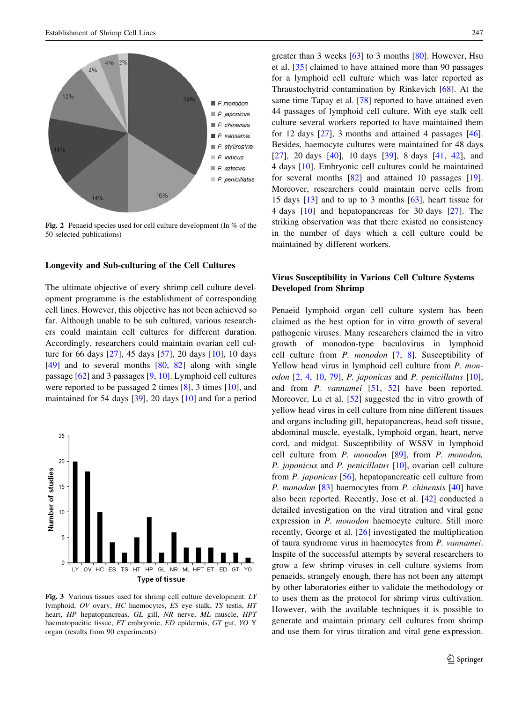<span id="page-3-0"></span>

Fig. 2 Penaeid species used for cell culture development (In % of the 50 selected publications)

### Longevity and Sub-culturing of the Cell Cultures

The ultimate objective of every shrimp cell culture development programme is the establishment of corresponding cell lines. However, this objective has not been achieved so far. Although unable to be sub cultured, various researchers could maintain cell cultures for different duration. Accordingly, researchers could maintain ovarian cell culture for 66 days [\[27](#page-5-0)], 45 days [[57\]](#page-6-0), 20 days [\[10](#page-5-0)], 10 days [\[49](#page-6-0)] and to several months [[80,](#page-7-0) [82\]](#page-7-0) along with single passage [[62\]](#page-6-0) and 3 passages [\[9](#page-5-0), [10](#page-5-0)]. Lymphoid cell cultures were reported to be passaged 2 times [[8\]](#page-5-0), 3 times [\[10](#page-5-0)], and maintained for 54 days [\[39](#page-6-0)], 20 days [[10\]](#page-5-0) and for a period



Fig. 3 Various tissues used for shrimp cell culture development. LY lymphoid, OV ovary, HC haemocytes, ES eye stalk, TS testis, HT heart, HP hepatopancreas, GL gill, NR nerve, ML muscle, HPT haematopoeitic tissue, ET embryonic, ED epidermis, GT gut, YO Y organ (results from 90 experiments)

greater than 3 weeks [[63\]](#page-6-0) to 3 months [\[80](#page-7-0)]. However, Hsu et al. [[35\]](#page-5-0) claimed to have attained more than 90 passages for a lymphoid cell culture which was later reported as Thraustochytrid contamination by Rinkevich [\[68](#page-6-0)]. At the same time Tapay et al. [\[78](#page-6-0)] reported to have attained even 44 passages of lymphoid cell culture. With eye stalk cell culture several workers reported to have maintained them for 12 days  $[27]$  $[27]$ , 3 months and attained 4 passages  $[46]$  $[46]$ . Besides, haemocyte cultures were maintained for 48 days [\[27](#page-5-0)], 20 days [\[40](#page-6-0)], 10 days [\[39](#page-6-0)], 8 days [\[41](#page-6-0), [42](#page-6-0)], and 4 days [[10\]](#page-5-0). Embryonic cell cultures could be maintained for several months [[82\]](#page-7-0) and attained 10 passages [\[19](#page-5-0)]. Moreover, researchers could maintain nerve cells from 15 days [[13\]](#page-5-0) and to up to 3 months [\[63](#page-6-0)], heart tissue for 4 days [[10\]](#page-5-0) and hepatopancreas for 30 days [\[27](#page-5-0)]. The striking observation was that there existed no consistency in the number of days which a cell culture could be maintained by different workers.

## Virus Susceptibility in Various Cell Culture Systems Developed from Shrimp

Penaeid lymphoid organ cell culture system has been claimed as the best option for in vitro growth of several pathogenic viruses. Many researchers claimed the in vitro growth of monodon-type baculovirus in lymphoid cell culture from P. monodon [\[7](#page-5-0), [8\]](#page-5-0). Susceptibility of Yellow head virus in lymphoid cell culture from P. monodon [[2,](#page-5-0) [4,](#page-5-0) [10,](#page-5-0) [79\]](#page-6-0), P. japonicus and P. penicillatus [\[10](#page-5-0)], and from *P. vannamei* [[51,](#page-6-0) [52](#page-6-0)] have been reported. Moreover, Lu et al. [\[52](#page-6-0)] suggested the in vitro growth of yellow head virus in cell culture from nine different tissues and organs including gill, hepatopancreas, head soft tissue, abdominal muscle, eyestalk, lymphoid organ, heart, nerve cord, and midgut. Susceptibility of WSSV in lymphoid cell culture from P. monodon [\[89](#page-7-0)], from P. monodon, P. japonicus and P. penicillatus [\[10](#page-5-0)], ovarian cell culture from P. japonicus [[56\]](#page-6-0), hepatopancreatic cell culture from P. monodon [\[83](#page-7-0)] haemocytes from P. chinensis [[40\]](#page-6-0) have also been reported. Recently, Jose et al. [\[42](#page-6-0)] conducted a detailed investigation on the viral titration and viral gene expression in P. monodon haemocyte culture. Still more recently, George et al. [[26\]](#page-5-0) investigated the multiplication of taura syndrome virus in haemocytes from P. vannamei. Inspite of the successful attempts by several researchers to grow a few shrimp viruses in cell culture systems from penaeids, strangely enough, there has not been any attempt by other laboratories either to validate the methodology or to uses them as the protocol for shrimp virus cultivation. However, with the available techniques it is possible to generate and maintain primary cell cultures from shrimp and use them for virus titration and viral gene expression.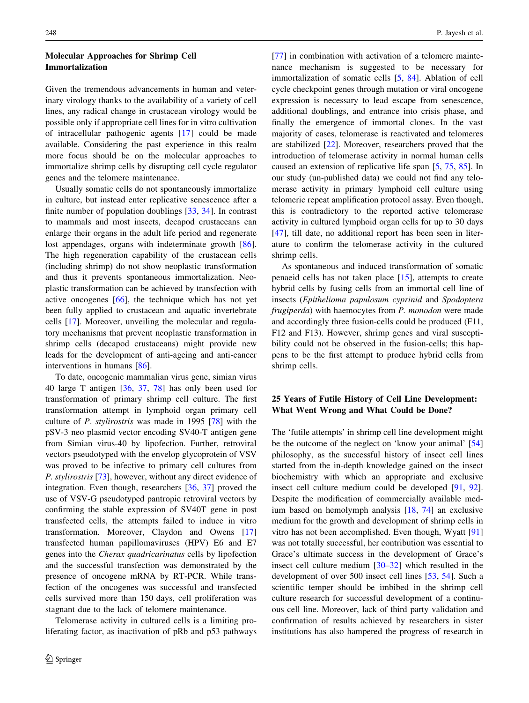## Molecular Approaches for Shrimp Cell Immortalization

Given the tremendous advancements in human and veterinary virology thanks to the availability of a variety of cell lines, any radical change in crustacean virology would be possible only if appropriate cell lines for in vitro cultivation of intracellular pathogenic agents [[17\]](#page-5-0) could be made available. Considering the past experience in this realm more focus should be on the molecular approaches to immortalize shrimp cells by disrupting cell cycle regulator genes and the telomere maintenance.

Usually somatic cells do not spontaneously immortalize in culture, but instead enter replicative senescence after a finite number of population doublings [[33](#page-5-0), [34](#page-5-0)]. In contrast to mammals and most insects, decapod crustaceans can enlarge their organs in the adult life period and regenerate lost appendages, organs with indeterminate growth [\[86](#page-7-0)]. The high regeneration capability of the crustacean cells (including shrimp) do not show neoplastic transformation and thus it prevents spontaneous immortalization. Neoplastic transformation can be achieved by transfection with active oncogenes [\[66](#page-6-0)], the technique which has not yet been fully applied to crustacean and aquatic invertebrate cells [\[17](#page-5-0)]. Moreover, unveiling the molecular and regulatory mechanisms that prevent neoplastic transformation in shrimp cells (decapod crustaceans) might provide new leads for the development of anti-ageing and anti-cancer interventions in humans [[86](#page-7-0)].

To date, oncogenic mammalian virus gene, simian virus 40 large T antigen [[36,](#page-5-0) [37,](#page-5-0) [78\]](#page-6-0) has only been used for transformation of primary shrimp cell culture. The first transformation attempt in lymphoid organ primary cell culture of P. stylirostris was made in 1995 [[78\]](#page-6-0) with the pSV-3 neo plasmid vector encoding SV40-T antigen gene from Simian virus-40 by lipofection. Further, retroviral vectors pseudotyped with the envelop glycoprotein of VSV was proved to be infective to primary cell cultures from P. stylirostris [\[73](#page-6-0)], however, without any direct evidence of integration. Even though, researchers [[36,](#page-5-0) [37\]](#page-5-0) proved the use of VSV-G pseudotyped pantropic retroviral vectors by confirming the stable expression of SV40T gene in post transfected cells, the attempts failed to induce in vitro transformation. Moreover, Claydon and Owens [[17\]](#page-5-0) transfected human papillomaviruses (HPV) E6 and E7 genes into the Cherax quadricarinatus cells by lipofection and the successful transfection was demonstrated by the presence of oncogene mRNA by RT-PCR. While transfection of the oncogenes was successful and transfected cells survived more than 150 days, cell proliferation was stagnant due to the lack of telomere maintenance.

Telomerase activity in cultured cells is a limiting proliferating factor, as inactivation of pRb and p53 pathways [\[77](#page-6-0)] in combination with activation of a telomere maintenance mechanism is suggested to be necessary for immortalization of somatic cells [\[5](#page-5-0), [84\]](#page-7-0). Ablation of cell cycle checkpoint genes through mutation or viral oncogene expression is necessary to lead escape from senescence, additional doublings, and entrance into crisis phase, and finally the emergence of immortal clones. In the vast majority of cases, telomerase is reactivated and telomeres are stabilized [[22\]](#page-5-0). Moreover, researchers proved that the introduction of telomerase activity in normal human cells caused an extension of replicative life span [\[5](#page-5-0), [75,](#page-6-0) [85\]](#page-7-0). In our study (un-published data) we could not find any telomerase activity in primary lymphoid cell culture using telomeric repeat amplification protocol assay. Even though, this is contradictory to the reported active telomerase activity in cultured lymphoid organ cells for up to 30 days [\[47](#page-6-0)], till date, no additional report has been seen in literature to confirm the telomerase activity in the cultured shrimp cells.

As spontaneous and induced transformation of somatic penaeid cells has not taken place [\[15](#page-5-0)], attempts to create hybrid cells by fusing cells from an immortal cell line of insects (Epithelioma papulosum cyprinid and Spodoptera frugiperda) with haemocytes from P. monodon were made and accordingly three fusion-cells could be produced (F11, F12 and F13). However, shrimp genes and viral susceptibility could not be observed in the fusion-cells; this happens to be the first attempt to produce hybrid cells from shrimp cells.

## 25 Years of Futile History of Cell Line Development: What Went Wrong and What Could be Done?

The 'futile attempts' in shrimp cell line development might be the outcome of the neglect on 'know your animal' [[54\]](#page-6-0) philosophy, as the successful history of insect cell lines started from the in-depth knowledge gained on the insect biochemistry with which an appropriate and exclusive insect cell culture medium could be developed [[91,](#page-7-0) [92](#page-7-0)]. Despite the modification of commercially available medium based on hemolymph analysis [[18,](#page-5-0) [74](#page-6-0)] an exclusive medium for the growth and development of shrimp cells in vitro has not been accomplished. Even though, Wyatt [[91\]](#page-7-0) was not totally successful, her contribution was essential to Grace's ultimate success in the development of Grace's insect cell culture medium [[30–32\]](#page-5-0) which resulted in the development of over 500 insect cell lines [[53,](#page-6-0) [54\]](#page-6-0). Such a scientific temper should be imbibed in the shrimp cell culture research for successful development of a continuous cell line. Moreover, lack of third party validation and confirmation of results achieved by researchers in sister institutions has also hampered the progress of research in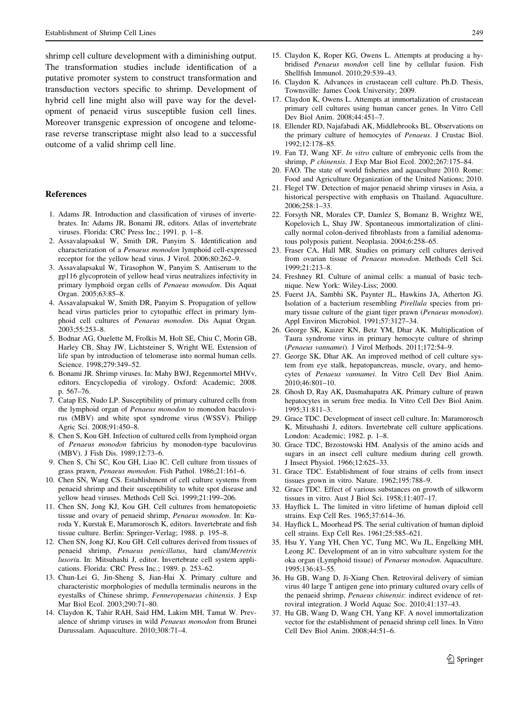<span id="page-5-0"></span>shrimp cell culture development with a diminishing output. The transformation studies include identification of a putative promoter system to construct transformation and transduction vectors specific to shrimp. Development of hybrid cell line might also will pave way for the development of penaeid virus susceptible fusion cell lines. Moreover transgenic expression of oncogene and telomerase reverse transcriptase might also lead to a successful outcome of a valid shrimp cell line.

#### References

- 1. Adams JR. Introduction and classification of viruses of invertebrates. In: Adams JR, Bonami JR, editors. Atlas of invertebrate viruses. Florida: CRC Press Inc.; 1991. p. 1–8.
- 2. Assavalapsakul W, Smith DR, Panyim S. Identification and characterization of a Penaeus monodon lymphoid cell-expressed receptor for the yellow head virus. J Virol. 2006;80:262–9.
- 3. Assavalapsakul W, Tirasophon W, Panyim S. Antiserum to the gp116 glycoprotein of yellow head virus neutralizes infectivity in primary lymphoid organ cells of Penaeus monodon. Dis Aquat Organ. 2005;63:85–8.
- 4. Assavalapsakul W, Smith DR, Panyim S. Propagation of yellow head virus particles prior to cytopathic effect in primary lymphoid cell cultures of Penaeus monodon. Dis Aquat Organ. 2003;55:253–8.
- 5. Bodnar AG, Ouelette M, Frolkis M, Holt SE, Chiu C, Morin GB, Harley CB, Shay JW, Lichtsteiner S, Wright WE. Extension of life span by introduction of telomerase into normal human cells. Science. 1998;279:349–52.
- 6. Bonami JR. Shrimp viruses. In: Mahy BWJ, Regenmortel MHVv, editors. Encyclopedia of virology. Oxford: Academic; 2008. p. 567–76.
- 7. Catap ES, Nudo LP. Susceptibility of primary cultured cells from the lymphoid organ of Penaeus monodon to monodon baculovirus (MBV) and white spot syndrome virus (WSSV). Philipp Agric Sci. 2008;91:450–8.
- 8. Chen S, Kou GH. Infection of cultured cells from lymphoid organ of Penaeus monodon fabricius by monodon-type baculovirus (MBV). J Fish Dis. 1989;12:73–6.
- 9. Chen S, Chi SC, Kou GH, Liao IC. Cell culture from tissues of grass prawn, Penaeus monodon. Fish Pathol. 1986;21:161–6.
- 10. Chen SN, Wang CS. Establishment of cell culture systems from penaeid shrimp and their susceptibility to white spot disease and yellow head viruses. Methods Cell Sci. 1999;21:199–206.
- 11. Chen SN, Jong KJ, Kou GH. Cell cultures from hematopoietic tissue and ovary of penaeid shrimp, Penaeus monodon. In: Kuroda Y, Kurstak E, Maramorosch K, editors. Invertebrate and fish tissue culture. Berlin: Springer-Verlag; 1988. p. 195–8.
- 12. Chen SN, Jong KJ, Kou GH. Cell cultures derived from tissues of penaeid shrimp, Penaeus penicillatus, hard clam/Meretrix lusoria. In: Mitsuhashi J, editor. Invertebrate cell system applications. Florida: CRC Press Inc.; 1989. p. 253–62.
- 13. Chun-Lei G, Jin-Sheng S, Jian-Hai X. Primary culture and characteristic morphologies of medulla terminalis neurons in the eyestalks of Chinese shrimp, Fenneropenaeus chinensis. J Exp Mar Biol Ecol. 2003;290:71–80.
- 14. Claydon K, Tahir RAH, Said HM, Lakim MH, Tamat W. Prevalence of shrimp viruses in wild Penaeus monodon from Brunei Darussalam. Aquaculture. 2010;308:71–4.
- 15. Claydon K, Roper KG, Owens L. Attempts at producing a hybridised Penaeus mondon cell line by cellular fusion. Fish Shellfish Immunol. 2010;29:539–43.
- 16. Claydon K. Advances in crustacean cell culture. Ph.D. Thesis, Townsville: James Cook University; 2009.
- 17. Claydon K, Owens L. Attempts at immortalization of crustacean primary cell cultures using human cancer genes. In Vitro Cell Dev Biol Anim. 2008;44:451–7.
- 18. Ellender RD, Najafabadi AK, Middlebrooks BL. Observations on the primary culture of hemocytes of Penaeus. J Crustac Biol. 1992;12:178–85.
- 19. Fan TJ, Wang XF. In vitro culture of embryonic cells from the shrimp, P chinensis. J Exp Mar Biol Ecol. 2002;267:175–84.
- 20. FAO. The state of world fisheries and aquaculture 2010. Rome: Food and Agriculture Organization of the United Nations; 2010.
- 21. Flegel TW. Detection of major penaeid shrimp viruses in Asia, a historical perspective with emphasis on Thailand. Aquaculture. 2006;258:1–33.
- 22. Forsyth NR, Morales CP, Damlez S, Bomanz B, Wrightz WE, Kopelovich L, Shay JW. Spontaneous immortalization of clinically normal colon-derived fibroblasts from a familial adenomatous polyposis patient. Neoplasia. 2004;6:258–65.
- 23. Fraser CA, Hall MR. Studies on primary cell cultures derived from ovarian tissue of Penaeus monodon. Methods Cell Sci. 1999;21:213–8.
- 24. Freshney RI. Culture of animal cells: a manual of basic technique. New York: Wiley-Liss; 2000.
- 25. Fuerst JA, Sambhi SK, Paynter JL, Hawkins JA, Atherton JG. Isolation of a bacterium resembling Pirellula species from primary tissue culture of the giant tiger prawn (Penaeus monodon). Appl Environ Microbiol. 1991;57:3127–34.
- 26. George SK, Kaizer KN, Betz YM, Dhar AK. Multiplication of Taura syndrome virus in primary hemocyte culture of shrimp (Penaeus vannamei). J Virol Methods. 2011;172:54–9.
- 27. George SK, Dhar AK. An improved method of cell culture system from eye stalk, hepatopancreas, muscle, ovary, and hemocytes of Penaeus vannamei. In Vitro Cell Dev Biol Anim. 2010;46:801–10.
- 28. Ghosh D, Ray AK, Dasmahapatra AK. Primary culture of prawn hepatocytes in serum free media. In Vitro Cell Dev Biol Anim. 1995;31:811–3.
- 29. Grace TDC. Development of insect cell culture. In: Maramorosch K, Mitsuhashi J, editors. Invertebrate cell culture applications. London: Academic; 1982. p. 1–8.
- 30. Grace TDC, Brzostowski HM. Analysis of the amino acids and sugars in an insect cell culture medium during cell growth. J Insect Physiol. 1966;12:625–33.
- 31. Grace TDC. Establishment of four strains of cells from insect tissues grown in vitro. Nature. 1962;195:788–9.
- 32. Grace TDC. Effect of various substances on growth of silkworm tissues in vitro. Aust J Biol Sci. 1958;11:407–17.
- 33. Hayflick L. The limited in vitro lifetime of human diploid cell strains. Exp Cell Res. 1965;37:614–36.
- 34. Hayflick L, Moorhead PS. The serial cultivation of human diploid cell strains. Exp Cell Res. 1961;25:585–621.
- 35. Hsu Y, Yang YH, Chen YC, Tung MC, Wu JL, Engelking MH, Leong JC. Development of an in vitro subculture system for the oka organ (Lymphoid tissue) of Penaeus monodon. Aquaculture. 1995;136:43–55.
- 36. Hu GB, Wang D, Ji-Xiang Chen. Retroviral delivery of simian virus 40 large T antigen gene into primary cultured ovary cells of the penaeid shrimp, Penaeus chinensis: indirect evidence of retroviral integration. J World Aquac Soc. 2010;41:137–43.
- 37. Hu GB, Wang D, Wang CH, Yang KF. A novel immortalization vector for the establishment of penaeid shrimp cell lines. In Vitro Cell Dev Biol Anim. 2008;44:51–6.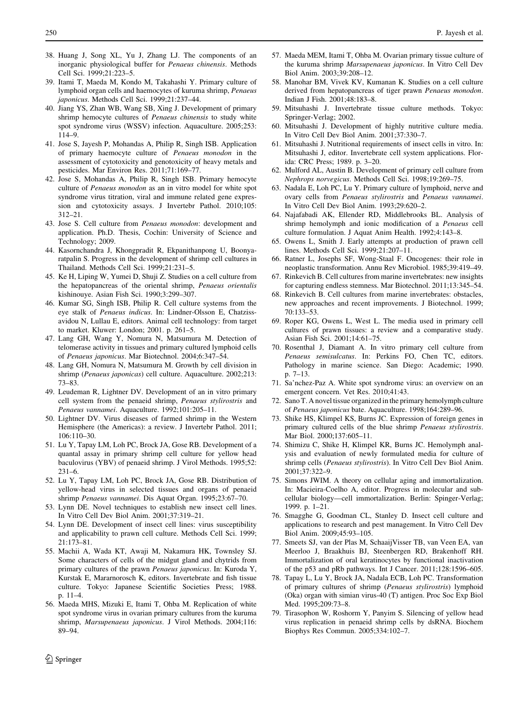- <span id="page-6-0"></span>38. Huang J, Song XL, Yu J, Zhang LJ. The components of an inorganic physiological buffer for Penaeus chinensis. Methods Cell Sci. 1999;21:223–5.
- 39. Itami T, Maeda M, Kondo M, Takahashi Y. Primary culture of lymphoid organ cells and haemocytes of kuruma shrimp, Penaeus japonicus. Methods Cell Sci. 1999;21:237–44.
- 40. Jiang YS, Zhan WB, Wang SB, Xing J. Development of primary shrimp hemocyte cultures of Penaeus chinensis to study white spot syndrome virus (WSSV) infection. Aquaculture. 2005;253: 114–9.
- 41. Jose S, Jayesh P, Mohandas A, Philip R, Singh ISB. Application of primary haemocyte culture of Penaeus monodon in the assessment of cytotoxicity and genotoxicity of heavy metals and pesticides. Mar Environ Res. 2011;71:169–77.
- 42. Jose S, Mohandas A, Philip R, Singh ISB. Primary hemocyte culture of Penaeus monodon as an in vitro model for white spot syndrome virus titration, viral and immune related gene expression and cytotoxicity assays. J Invertebr Pathol. 2010;105: 312–21.
- 43. Jose S. Cell culture from Penaeus monodon: development and application. Ph.D. Thesis, Cochin: University of Science and Technology; 2009.
- 44. Kasornchandra J, Khongpradit R, Ekpanithanpong U, Boonyaratpalin S. Progress in the development of shrimp cell cultures in Thailand. Methods Cell Sci. 1999;21:231–5.
- 45. Ke H, Liping W, Yumei D, Shuji Z. Studies on a cell culture from the hepatopancreas of the oriental shrimp, Penaeus orientalis kishinouye. Asian Fish Sci. 1990;3:299–307.
- 46. Kumar SG, Singh ISB, Philip R. Cell culture systems from the eye stalk of Penaeus indicus. In: Lindner-Olsson E, Chatzissavidou N, Lullau E, editors. Animal cell technology: from target to market. Kluwer: London; 2001. p. 261–5.
- 47. Lang GH, Wang Y, Nomura N, Matsumura M. Detection of telomerase activity in tissues and primary cultured lymphoid cells of Penaeus japonicus. Mar Biotechnol. 2004;6:347–54.
- 48. Lang GH, Nomura N, Matsumura M. Growth by cell division in shrimp (Penaeus japonicas) cell culture. Aquaculture. 2002;213: 73–83.
- 49. Leudeman R, Lightner DV. Development of an in vitro primary cell system from the penaeid shrimp, Penaeus stylirostris and Penaeus vannamei. Aquaculture. 1992;101:205–11.
- 50. Lightner DV. Virus diseases of farmed shrimp in the Western Hemisphere (the Americas): a review. J Invertebr Pathol. 2011; 106:110–30.
- 51. Lu Y, Tapay LM, Loh PC, Brock JA, Gose RB. Development of a quantal assay in primary shrimp cell culture for yellow head baculovirus (YBV) of penaeid shrimp. J Virol Methods. 1995;52: 231–6.
- 52. Lu Y, Tapay LM, Loh PC, Brock JA, Gose RB. Distribution of yellow-head virus in selected tissues and organs of penaeid shrimp Penaeus vannamei. Dis Aquat Organ. 1995;23:67–70.
- 53. Lynn DE. Novel techniques to establish new insect cell lines. In Vitro Cell Dev Biol Anim. 2001;37:319–21.
- 54. Lynn DE. Development of insect cell lines: virus susceptibility and applicability to prawn cell culture. Methods Cell Sci. 1999; 21:173–81.
- 55. Machii A, Wada KT, Awaji M, Nakamura HK, Townsley SJ. Some characters of cells of the midgut gland and chytrids from primary cultures of the prawn Penaeus japonicus. In: Kuroda Y, Kurstak E, Mararnorosch K, editors. Invertebrate and fish tissue culture. Tokyo: Japanese Scientific Societies Press; 1988. p. 11–4.
- 56. Maeda MHS, Mizuki E, Itami T, Ohba M. Replication of white spot syndrome virus in ovarian primary cultures from the kuruma shrimp, Marsupenaeus japonicus. J Virol Methods. 2004;116: 89–94.
- 57. Maeda MEM, Itami T, Ohba M. Ovarian primary tissue culture of the kuruma shrimp Marsupenaeus japonicus. In Vitro Cell Dev Biol Anim. 2003;39:208–12.
- 58. Manohar BM, Vivek KV, Kumanan K. Studies on a cell culture derived from hepatopancreas of tiger prawn Penaeus monodon. Indian J Fish. 2001;48:183–8.
- 59. Mitsuhashi J. Invertebrate tissue culture methods. Tokyo: Springer-Verlag; 2002.
- 60. Mitsuhashi J. Development of highly nutritive culture media. In Vitro Cell Dev Biol Anim. 2001;37:330–7.
- 61. Mitsuhashi J. Nutritional requirements of insect cells in vitro. In: Mitsuhashi J, editor. Invertebrate cell system applications. Florida: CRC Press; 1989. p. 3–20.
- 62. Mulford AL, Austin B. Development of primary cell culture from Nephrops norvegicus. Methods Cell Sci. 1998;19:269–75.
- 63. Nadala E, Loh PC, Lu Y. Primary culture of lymphoid, nerve and ovary cells from Penaeus stylirostris and Penaeus vannamei. In Vitro Cell Dev Biol Anim. 1993;29:620–2.
- 64. Najafabadi AK, Ellender RD, Middlebrooks BL. Analysis of shrimp hemolymph and ionic modification of a Penaeus cell culture formulation. J Aquat Anim Health. 1992;4:143–8.
- 65. Owens L, Smith J. Early attempts at production of prawn cell lines. Methods Cell Sci. 1999;21:207–11.
- 66. Ratner L, Josephs SF, Wong-Staal F. Oncogenes: their role in neoplastic transformation. Annu Rev Microbiol. 1985;39:419–49.
- 67. Rinkevich B. Cell cultures from marine invertebrates: new insights for capturing endless stemness. Mar Biotechnol. 2011;13:345–54.
- 68. Rinkevich B. Cell cultures from marine invertebrates: obstacles, new approaches and recent improvements. J Biotechnol. 1999; 70:133–53.
- 69. Roper KG, Owens L, West L. The media used in primary cell cultures of prawn tissues: a review and a comparative study. Asian Fish Sci. 2001;14:61–75.
- 70. Rosenthal J, Diamant A. In vitro primary cell culture from Penaeus semisulcatus. In: Perkins FO, Chen TC, editors. Pathology in marine science. San Diego: Academic; 1990. p. 7–13.
- 71. Sa'nchez-Paz A. White spot syndrome virus: an overview on an emergent concern. Vet Res. 2010;41:43.
- 72. Sano T. A novel tissue organized in the primary hemolymph culture of Penaeus japonicus bate. Aquaculture. 1998;164:289–96.
- 73. Shike HS, Klimpel KS, Burns JC. Expression of foreign genes in primary cultured cells of the blue shrimp Penaeus stylirostris. Mar Biol. 2000;137:605–11.
- 74. Shimizu C, Shike H, Klimpel KR, Burns JC. Hemolymph analysis and evaluation of newly formulated media for culture of shrimp cells (Penaeus stylirostris). In Vitro Cell Dev Biol Anim. 2001;37:322–9.
- 75. Simons JWIM. A theory on cellular aging and immortalization. In: Macieira-Coelho A, editor. Progress in molecular and subcellular biology—cell immortalization. Berlin: Spinger-Verlag; 1999. p. 1–21.
- 76. Smagghe G, Goodman CL, Stanley D. Insect cell culture and applications to research and pest management. In Vitro Cell Dev Biol Anim. 2009;45:93–105.
- 77. Smeets SJ, van der Plas M, SchaaijVisser TB, van Veen EA, van Meerloo J, Braakhuis BJ, Steenbergen RD, Brakenhoff RH. Immortalization of oral keratinocytes by functional inactivation of the p53 and pRb pathways. Int J Cancer. 2011;128:1596–605.
- 78. Tapay L, Lu Y, Brock JA, Nadala ECB, Loh PC. Transformation of primary cultures of shrimp (Penaeus stylirostris) lymphoid (Oka) organ with simian virus-40 (T) antigen. Proc Soc Exp Biol Med. 1995;209:73–8.
- 79. Tirasophon W, Roshorm Y, Panyim S. Silencing of yellow head virus replication in penaeid shrimp cells by dsRNA. Biochem Biophys Res Commun. 2005;334:102–7.